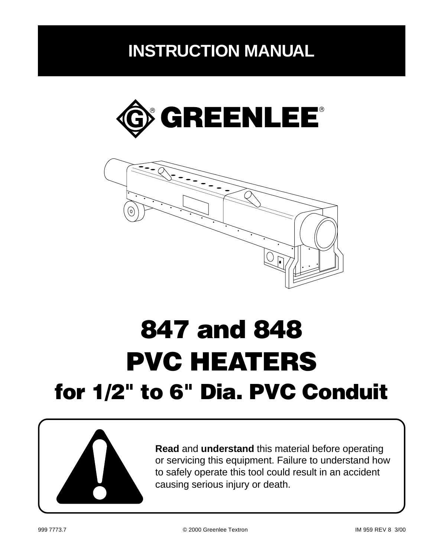# **INSTRUCTION MANUAL**





# **847 and 848 PVC HEATERS for 1/2" to 6" Dia. PVC Conduit**



**Read** and **understand** this material before operating or servicing this equipment. Failure to understand how to safely operate this tool could result in an accident causing serious injury or death.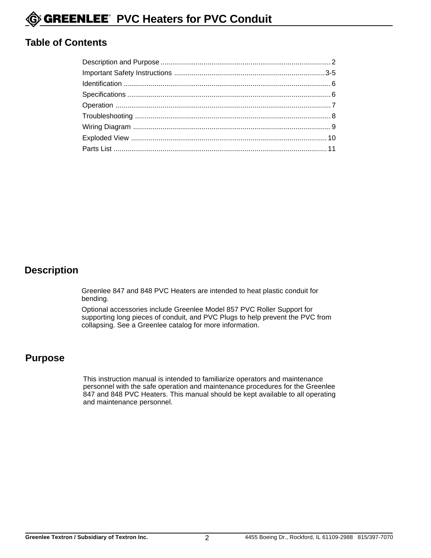#### **Table of Contents**

#### **Description**

Greenlee 847 and 848 PVC Heaters are intended to heat plastic conduit for bending.

Optional accessories include Greenlee Model 857 PVC Roller Support for supporting long pieces of conduit, and PVC Plugs to help prevent the PVC from collapsing. See a Greenlee catalog for more information.

#### **Purpose**

This instruction manual is intended to familiarize operators and maintenance personnel with the safe operation and maintenance procedures for the Greenlee 847 and 848 PVC Heaters. This manual should be kept available to all operating and maintenance personnel.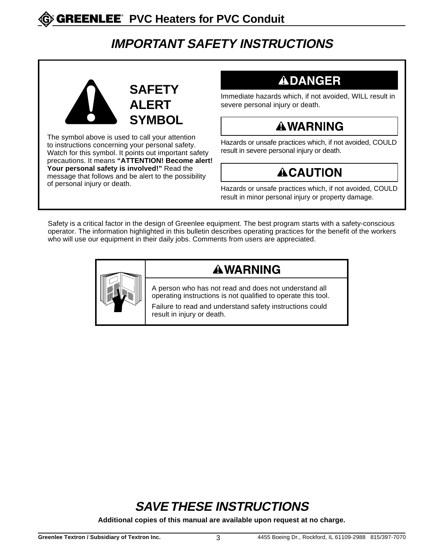## **IMPORTANT SAFETY INSTRUCTIONS**



The symbol above is used to call your attention to instructions concerning your personal safety. Watch for this symbol. It points out important safety precautions. It means **"ATTENTION! Become alert! Your personal safety is involved!"** Read the message that follows and be alert to the possibility

## **ADANGER**

Immediate hazards which, if not avoided, WILL result in severe personal injury or death.

## **AWARNING**

Hazards or unsafe practices which, if not avoided, COULD result in severe personal injury or death.

# **ACAUTION**

of personal injury or death.<br>Hazards or unsafe practices which, if not avoided, COULD result in minor personal injury or property damage.

Safety is a critical factor in the design of Greenlee equipment. The best program starts with a safety-conscious operator. The information highlighted in this bulletin describes operating practices for the benefit of the workers who will use our equipment in their daily jobs. Comments from users are appreciated.



## **AWARNING**

A person who has not read and does not understand all operating instructions is not qualified to operate this tool.

Failure to read and understand safety instructions could result in injury or death.

# **SAVE THESE INSTRUCTIONS**

**Additional copies of this manual are available upon request at no charge.**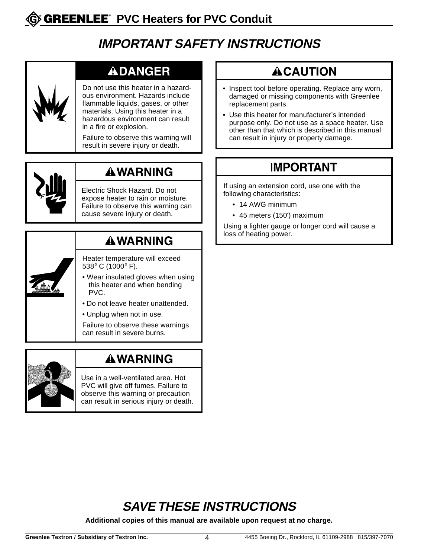## **IMPORTANT SAFETY INSTRUCTIONS**

## **ADANGER**

Do not use this heater in a hazardous environment. Hazards include flammable liquids, gases, or other materials. Using this heater in a hazardous environment can result in a fire or explosion.

Failure to observe this warning will result in severe injury or death.



## **AWARNING**

Electric Shock Hazard. Do not expose heater to rain or moisture. Failure to observe this warning can cause severe injury or death.

## **AWARNING**

- Heater temperature will exceed 538° C (1000° F).
- Wear insulated gloves when using this heater and when bending PVC.
- Do not leave heater unattended.
- Unplug when not in use.

Failure to observe these warnings can result in severe burns.



### **AWARNING**

Use in a well-ventilated area. Hot PVC will give off fumes. Failure to observe this warning or precaution can result in serious injury or death.

## **ACAUTION**

- Inspect tool before operating. Replace any worn, damaged or missing components with Greenlee replacement parts.
- Use this heater for manufacturer's intended purpose only. Do not use as a space heater. Use other than that which is described in this manual can result in injury or property damage.

## **IMPORTANT**

If using an extension cord, use one with the following characteristics:

- 14 AWG minimum
- 45 meters (150') maximum

Using a lighter gauge or longer cord will cause a loss of heating power.

# **SAVE THESE INSTRUCTIONS**

**Additional copies of this manual are available upon request at no charge.**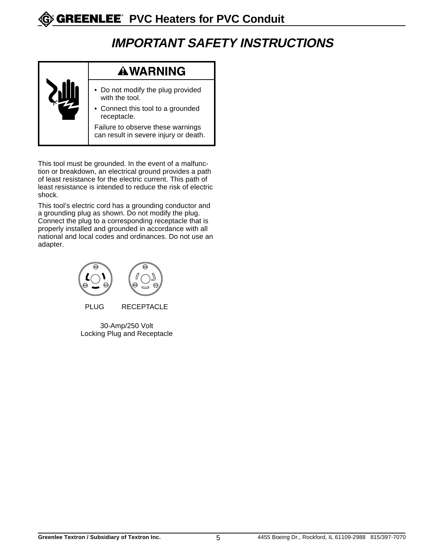## **IMPORTANT SAFETY INSTRUCTIONS**



This tool must be grounded. In the event of a malfunction or breakdown, an electrical ground provides a path of least resistance for the electric current. This path of least resistance is intended to reduce the risk of electric shock.

This tool's electric cord has a grounding conductor and a grounding plug as shown. Do not modify the plug. Connect the plug to a corresponding receptacle that is properly installed and grounded in accordance with all national and local codes and ordinances. Do not use an adapter.



30-Amp/250 Volt Locking Plug and Receptacle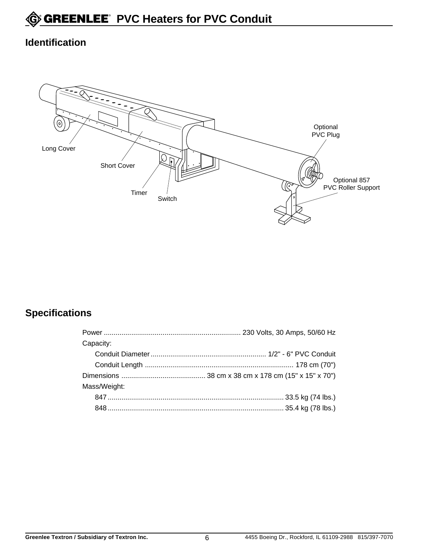#### **Identification**



#### **Specifications**

| Capacity:    |  |
|--------------|--|
|              |  |
|              |  |
|              |  |
| Mass/Weight: |  |
|              |  |
|              |  |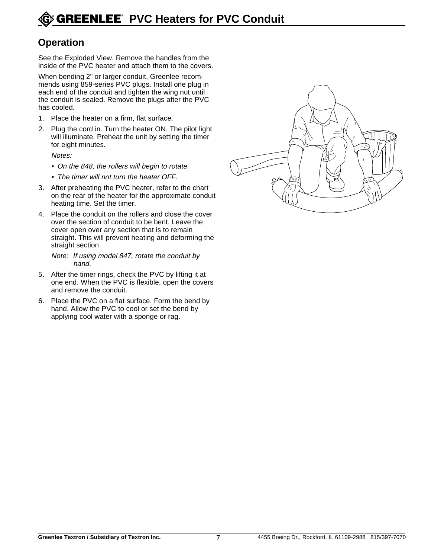#### **Operation**

See the Exploded View. Remove the handles from the inside of the PVC heater and attach them to the covers.

When bending 2" or larger conduit, Greenlee recommends using 859-series PVC plugs. Install one plug in each end of the conduit and tighten the wing nut until the conduit is sealed. Remove the plugs after the PVC has cooled.

- 1. Place the heater on a firm, flat surface.
- 2. Plug the cord in. Turn the heater ON. The pilot light will illuminate. Preheat the unit by setting the timer for eight minutes.

Notes:

- On the 848, the rollers will begin to rotate.
- The timer will not turn the heater OFF.
- 3. After preheating the PVC heater, refer to the chart on the rear of the heater for the approximate conduit heating time. Set the timer.
- 4. Place the conduit on the rollers and close the cover over the section of conduit to be bent. Leave the cover open over any section that is to remain straight. This will prevent heating and deforming the straight section.

Note: If using model 847, rotate the conduit by hand.

- 5. After the timer rings, check the PVC by lifting it at one end. When the PVC is flexible, open the covers and remove the conduit.
- 6. Place the PVC on a flat surface. Form the bend by hand. Allow the PVC to cool or set the bend by applying cool water with a sponge or rag.

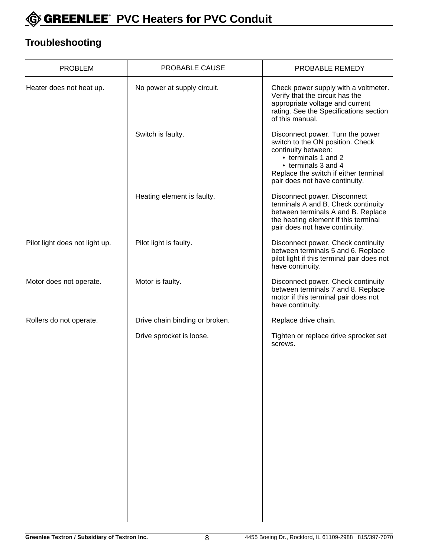

#### **Troubleshooting**

| <b>PROBLEM</b>                 | PROBABLE CAUSE                 | PROBABLE REMEDY                                                                                                                                                                                                      |
|--------------------------------|--------------------------------|----------------------------------------------------------------------------------------------------------------------------------------------------------------------------------------------------------------------|
| Heater does not heat up.       | No power at supply circuit.    | Check power supply with a voltmeter.<br>Verify that the circuit has the<br>appropriate voltage and current<br>rating. See the Specifications section<br>of this manual.                                              |
|                                | Switch is faulty.              | Disconnect power. Turn the power<br>switch to the ON position. Check<br>continuity between:<br>• terminals 1 and 2<br>• terminals 3 and 4<br>Replace the switch if either terminal<br>pair does not have continuity. |
|                                | Heating element is faulty.     | Disconnect power. Disconnect<br>terminals A and B. Check continuity<br>between terminals A and B. Replace<br>the heating element if this terminal<br>pair does not have continuity.                                  |
| Pilot light does not light up. | Pilot light is faulty.         | Disconnect power. Check continuity<br>between terminals 5 and 6. Replace<br>pilot light if this terminal pair does not<br>have continuity.                                                                           |
| Motor does not operate.        | Motor is faulty.               | Disconnect power. Check continuity<br>between terminals 7 and 8. Replace<br>motor if this terminal pair does not<br>have continuity.                                                                                 |
| Rollers do not operate.        | Drive chain binding or broken. | Replace drive chain.                                                                                                                                                                                                 |
|                                | Drive sprocket is loose.       | Tighten or replace drive sprocket set<br>screws.                                                                                                                                                                     |
|                                |                                |                                                                                                                                                                                                                      |
|                                |                                |                                                                                                                                                                                                                      |
|                                |                                |                                                                                                                                                                                                                      |
|                                |                                |                                                                                                                                                                                                                      |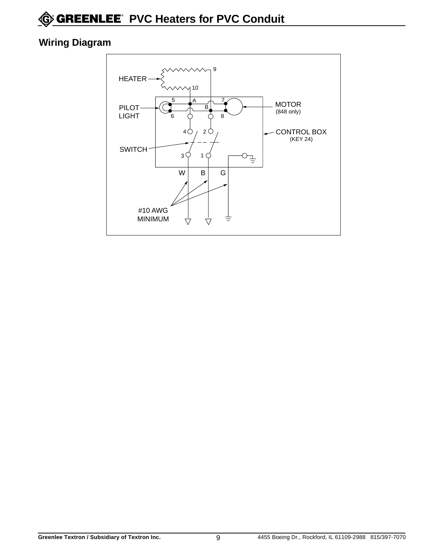#### **Wiring Diagram**

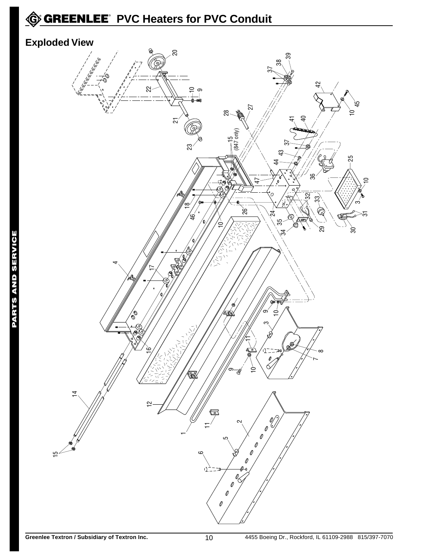# **C** GREENLEE<sup>®</sup> PVC Heaters for PVC Conduit

#### **Exploded View**

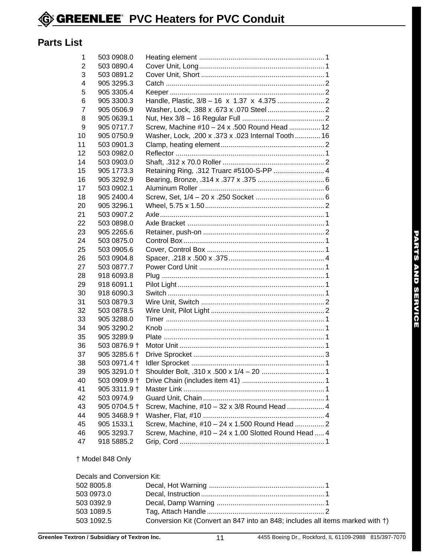#### **Parts List**

| 1  | 503 0908.0   |                                                       |
|----|--------------|-------------------------------------------------------|
| 2  | 503 0890.4   |                                                       |
| 3  | 503 0891.2   |                                                       |
| 4  | 905 3295.3   |                                                       |
| 5  | 905 3305.4   |                                                       |
| 6  | 905 3300.3   |                                                       |
| 7  | 905 0506.9   |                                                       |
| 8  | 905 0639.1   |                                                       |
| 9  | 905 0717.7   | Screw, Machine #10 - 24 x .500 Round Head  12         |
| 10 | 905 0750.9   | Washer, Lock, .200 x .373 x .023 Internal Tooth  16   |
| 11 | 503 0901.3   |                                                       |
| 12 | 503 0982.0   |                                                       |
| 14 | 503 0903.0   |                                                       |
| 15 | 905 1773.3   | Retaining Ring, .312 Truarc #5100-S-PP  4             |
| 16 | 905 3292.9   |                                                       |
| 17 | 503 0902.1   |                                                       |
| 18 | 905 2400.4   |                                                       |
| 20 | 905 3296.1   |                                                       |
| 21 | 503 0907.2   |                                                       |
| 22 | 503 0898.0   |                                                       |
| 23 | 905 2265.6   |                                                       |
| 24 | 503 0875.0   |                                                       |
| 25 | 503 0905.6   |                                                       |
| 26 | 503 0904.8   |                                                       |
| 27 | 503 0877.7   |                                                       |
| 28 | 918 6093.8   |                                                       |
| 29 | 918 6091.1   |                                                       |
| 30 | 918 6090.3   |                                                       |
| 31 | 503 0879.3   |                                                       |
| 32 | 503 0878.5   |                                                       |
| 33 | 905 3288.0   |                                                       |
| 34 | 905 3290.2   |                                                       |
| 35 | 905 3289.9   |                                                       |
| 36 | 503 0876.9 + |                                                       |
| 37 | 905 3285.6 + |                                                       |
| 38 | 503 0971.4 + |                                                       |
| 39 | 905 3291.0 + |                                                       |
| 40 | 503 0909.9 + |                                                       |
| 41 | 905 3311.9 + |                                                       |
| 42 | 503 0974.9   |                                                       |
| 43 | 905 0704.5 + | Screw, Machine, #10 - 32 x 3/8 Round Head  4          |
| 44 | 905 3468.9 + |                                                       |
| 45 | 905 1533.1   | Screw, Machine, #10 - 24 x 1.500 Round Head  2        |
| 46 | 905 3293.7   | Screw, Machine, #10 - 24 x 1.00 Slotted Round Head  4 |
| 47 | 918 5885.2   |                                                       |
|    |              |                                                       |

† Model 848 Only

| Decals and Conversion Kit: |                                                                               |  |
|----------------------------|-------------------------------------------------------------------------------|--|
| 502 8005.8                 |                                                                               |  |
| 503 0973.0                 |                                                                               |  |
| 503 0392.9                 |                                                                               |  |
| 503 1089.5                 |                                                                               |  |
| 503 1092.5                 | Conversion Kit (Convert an 847 into an 848; includes all items marked with †) |  |